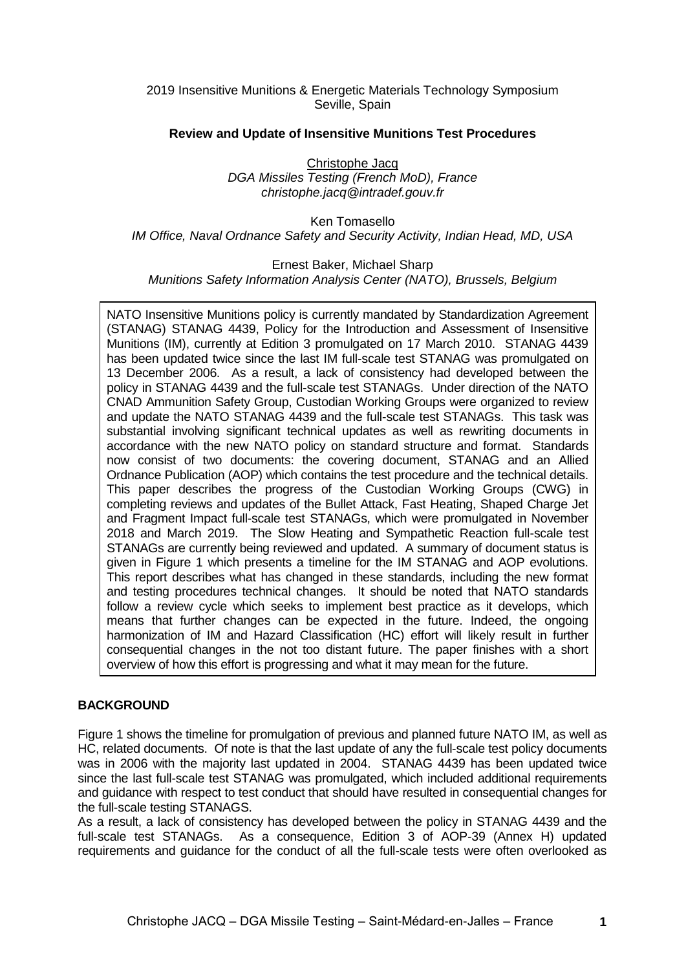2019 Insensitive Munitions & Energetic Materials Technology Symposium Seville, Spain

## **Review and Update of Insensitive Munitions Test Procedures**

Christophe Jacq *DGA Missiles Testing (French MoD), France christophe.jacq@intradef.gouv.fr*

Ken Tomasello *IM Office, Naval Ordnance Safety and Security Activity, Indian Head, MD, USA*

## Ernest Baker, Michael Sharp

*Munitions Safety Information Analysis Center (NATO), Brussels, Belgium*

NATO Insensitive Munitions policy is currently mandated by Standardization Agreement (STANAG) STANAG 4439, Policy for the Introduction and Assessment of Insensitive Munitions (IM), currently at Edition 3 promulgated on 17 March 2010. STANAG 4439 has been updated twice since the last IM full-scale test STANAG was promulgated on 13 December 2006. As a result, a lack of consistency had developed between the policy in STANAG 4439 and the full-scale test STANAGs. Under direction of the NATO CNAD Ammunition Safety Group, Custodian Working Groups were organized to review and update the NATO STANAG 4439 and the full-scale test STANAGs. This task was substantial involving significant technical updates as well as rewriting documents in accordance with the new NATO policy on standard structure and format. Standards now consist of two documents: the covering document, STANAG and an Allied Ordnance Publication (AOP) which contains the test procedure and the technical details. This paper describes the progress of the Custodian Working Groups (CWG) in completing reviews and updates of the Bullet Attack, Fast Heating, Shaped Charge Jet and Fragment Impact full-scale test STANAGs, which were promulgated in November 2018 and March 2019. The Slow Heating and Sympathetic Reaction full-scale test STANAGs are currently being reviewed and updated. A summary of document status is given in Figure 1 which presents a timeline for the IM STANAG and AOP evolutions. This report describes what has changed in these standards, including the new format and testing procedures technical changes. It should be noted that NATO standards follow a review cycle which seeks to implement best practice as it develops, which means that further changes can be expected in the future. Indeed, the ongoing harmonization of IM and Hazard Classification (HC) effort will likely result in further consequential changes in the not too distant future. The paper finishes with a short overview of how this effort is progressing and what it may mean for the future.

## **BACKGROUND**

Figure 1 shows the timeline for promulgation of previous and planned future NATO IM, as well as HC, related documents. Of note is that the last update of any the full-scale test policy documents was in 2006 with the majority last updated in 2004. STANAG 4439 has been updated twice since the last full-scale test STANAG was promulgated, which included additional requirements and guidance with respect to test conduct that should have resulted in consequential changes for the full-scale testing STANAGS.

As a result, a lack of consistency has developed between the policy in STANAG 4439 and the full-scale test STANAGs. As a consequence, Edition 3 of AOP-39 (Annex H) updated requirements and guidance for the conduct of all the full-scale tests were often overlooked as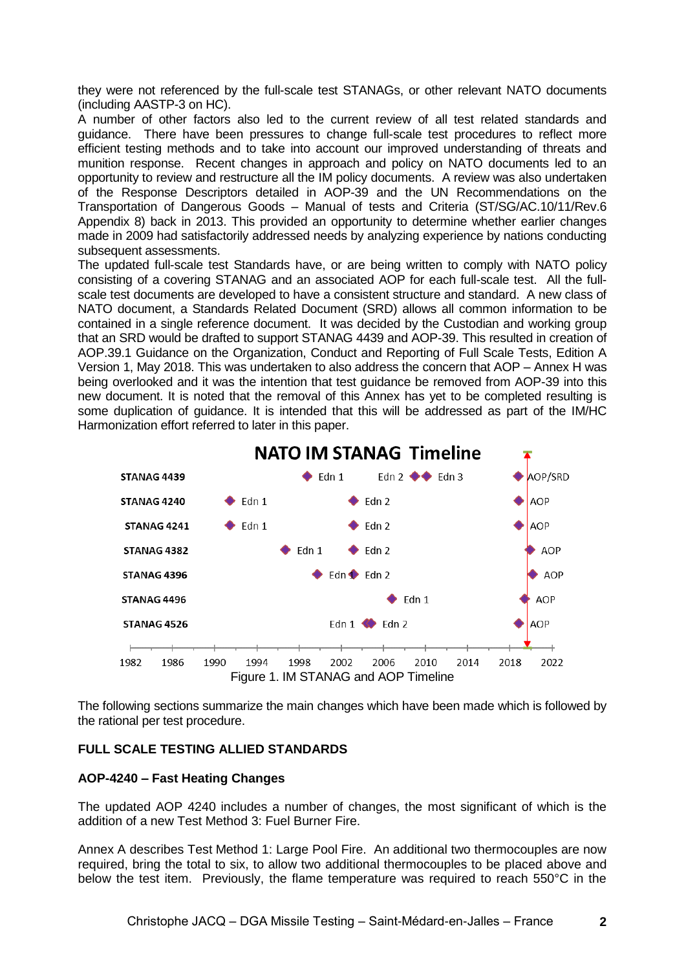they were not referenced by the full-scale test STANAGs, or other relevant NATO documents (including AASTP-3 on HC).

A number of other factors also led to the current review of all test related standards and guidance. There have been pressures to change full-scale test procedures to reflect more efficient testing methods and to take into account our improved understanding of threats and munition response. Recent changes in approach and policy on NATO documents led to an opportunity to review and restructure all the IM policy documents. A review was also undertaken of the Response Descriptors detailed in AOP-39 and the UN Recommendations on the Transportation of Dangerous Goods – Manual of tests and Criteria (ST/SG/AC.10/11/Rev.6 Appendix 8) back in 2013. This provided an opportunity to determine whether earlier changes made in 2009 had satisfactorily addressed needs by analyzing experience by nations conducting subsequent assessments.

The updated full-scale test Standards have, or are being written to comply with NATO policy consisting of a covering STANAG and an associated AOP for each full-scale test. All the fullscale test documents are developed to have a consistent structure and standard. A new class of NATO document, a Standards Related Document (SRD) allows all common information to be contained in a single reference document. It was decided by the Custodian and working group that an SRD would be drafted to support STANAG 4439 and AOP-39. This resulted in creation of AOP.39.1 Guidance on the Organization, Conduct and Reporting of Full Scale Tests, Edition A Version 1, May 2018. This was undertaken to also address the concern that AOP – Annex H was being overlooked and it was the intention that test guidance be removed from AOP-39 into this new document. It is noted that the removal of this Annex has yet to be completed resulting is some duplication of guidance. It is intended that this will be addressed as part of the IM/HC Harmonization effort referred to later in this paper.



The following sections summarize the main changes which have been made which is followed by the rational per test procedure.

## **FULL SCALE TESTING ALLIED STANDARDS**

#### **AOP-4240 – Fast Heating Changes**

The updated AOP 4240 includes a number of changes, the most significant of which is the addition of a new Test Method 3: Fuel Burner Fire.

Annex A describes Test Method 1: Large Pool Fire. An additional two thermocouples are now required, bring the total to six, to allow two additional thermocouples to be placed above and below the test item. Previously, the flame temperature was required to reach 550°C in the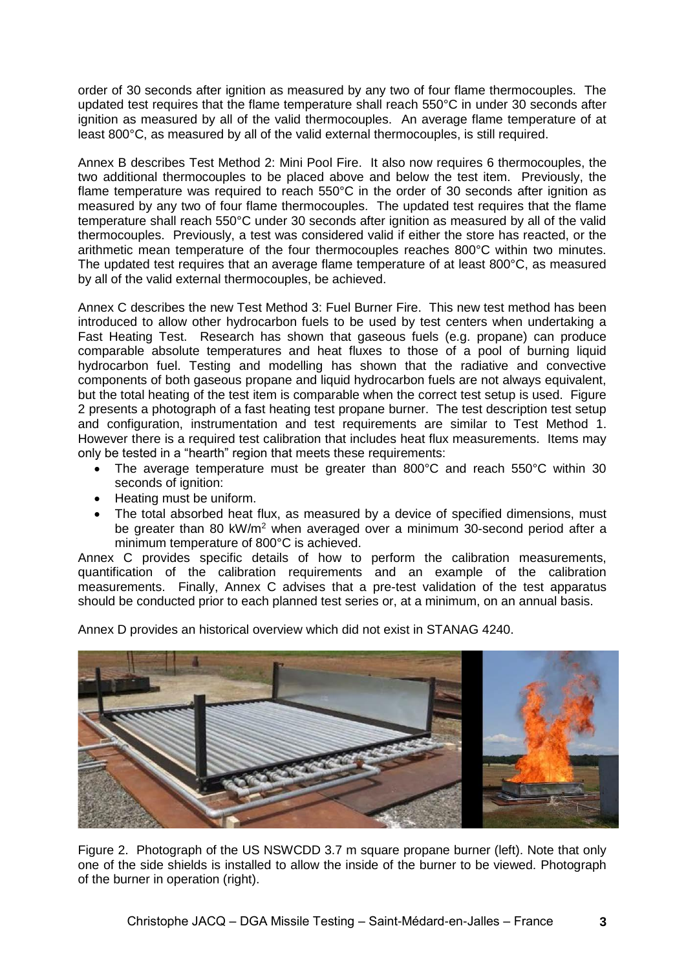order of 30 seconds after ignition as measured by any two of four flame thermocouples. The updated test requires that the flame temperature shall reach 550°C in under 30 seconds after ignition as measured by all of the valid thermocouples. An average flame temperature of at least 800°C, as measured by all of the valid external thermocouples, is still required.

Annex B describes Test Method 2: Mini Pool Fire. It also now requires 6 thermocouples, the two additional thermocouples to be placed above and below the test item. Previously, the flame temperature was required to reach 550°C in the order of 30 seconds after ignition as measured by any two of four flame thermocouples. The updated test requires that the flame temperature shall reach 550°C under 30 seconds after ignition as measured by all of the valid thermocouples. Previously, a test was considered valid if either the store has reacted, or the arithmetic mean temperature of the four thermocouples reaches 800°C within two minutes. The updated test requires that an average flame temperature of at least 800°C, as measured by all of the valid external thermocouples, be achieved.

Annex C describes the new Test Method 3: Fuel Burner Fire. This new test method has been introduced to allow other hydrocarbon fuels to be used by test centers when undertaking a Fast Heating Test. Research has shown that gaseous fuels (e.g. propane) can produce comparable absolute temperatures and heat fluxes to those of a pool of burning liquid hydrocarbon fuel. Testing and modelling has shown that the radiative and convective components of both gaseous propane and liquid hydrocarbon fuels are not always equivalent, but the total heating of the test item is comparable when the correct test setup is used. Figure 2 presents a photograph of a fast heating test propane burner. The test description test setup and configuration, instrumentation and test requirements are similar to Test Method 1. However there is a required test calibration that includes heat flux measurements. Items may only be tested in a "hearth" region that meets these requirements:

- The average temperature must be greater than 800°C and reach 550°C within 30 seconds of ignition:
- Heating must be uniform.
- The total absorbed heat flux, as measured by a device of specified dimensions, must be greater than 80 kW/m<sup>2</sup> when averaged over a minimum 30-second period after a minimum temperature of 800°C is achieved.

Annex C provides specific details of how to perform the calibration measurements, quantification of the calibration requirements and an example of the calibration measurements. Finally, Annex C advises that a pre-test validation of the test apparatus should be conducted prior to each planned test series or, at a minimum, on an annual basis.

Annex D provides an historical overview which did not exist in STANAG 4240.



Figure 2. Photograph of the US NSWCDD 3.7 m square propane burner (left). Note that only one of the side shields is installed to allow the inside of the burner to be viewed. Photograph of the burner in operation (right).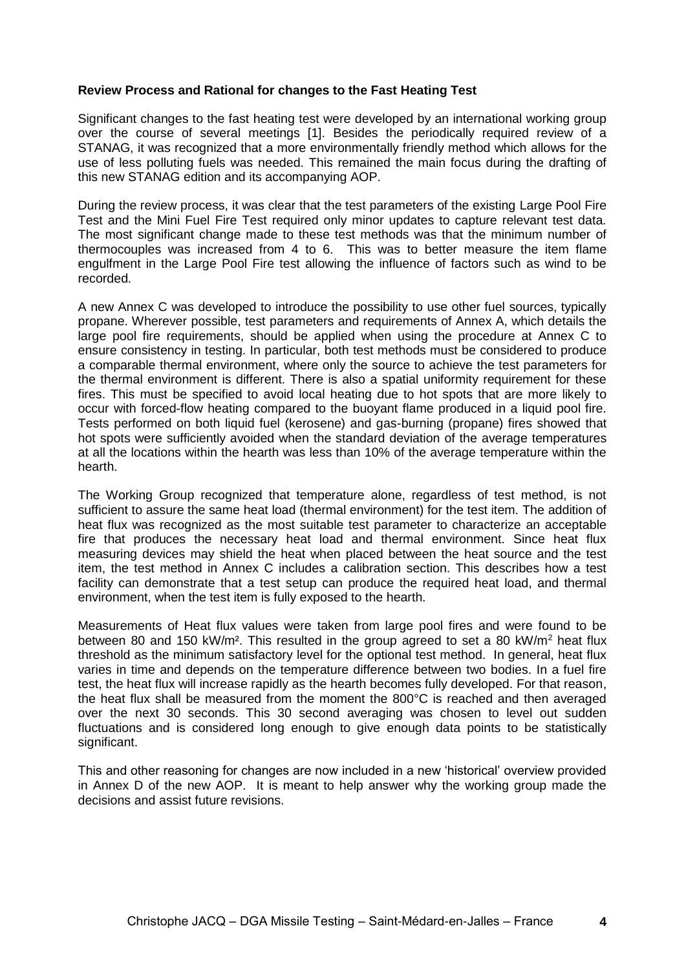#### **Review Process and Rational for changes to the Fast Heating Test**

Significant changes to the fast heating test were developed by an international working group over the course of several meetings [1]. Besides the periodically required review of a STANAG, it was recognized that a more environmentally friendly method which allows for the use of less polluting fuels was needed. This remained the main focus during the drafting of this new STANAG edition and its accompanying AOP.

During the review process, it was clear that the test parameters of the existing Large Pool Fire Test and the Mini Fuel Fire Test required only minor updates to capture relevant test data. The most significant change made to these test methods was that the minimum number of thermocouples was increased from 4 to 6. This was to better measure the item flame engulfment in the Large Pool Fire test allowing the influence of factors such as wind to be recorded.

A new Annex C was developed to introduce the possibility to use other fuel sources, typically propane. Wherever possible, test parameters and requirements of Annex A, which details the large pool fire requirements, should be applied when using the procedure at Annex C to ensure consistency in testing. In particular, both test methods must be considered to produce a comparable thermal environment, where only the source to achieve the test parameters for the thermal environment is different. There is also a spatial uniformity requirement for these fires. This must be specified to avoid local heating due to hot spots that are more likely to occur with forced-flow heating compared to the buoyant flame produced in a liquid pool fire. Tests performed on both liquid fuel (kerosene) and gas-burning (propane) fires showed that hot spots were sufficiently avoided when the standard deviation of the average temperatures at all the locations within the hearth was less than 10% of the average temperature within the hearth.

The Working Group recognized that temperature alone, regardless of test method, is not sufficient to assure the same heat load (thermal environment) for the test item. The addition of heat flux was recognized as the most suitable test parameter to characterize an acceptable fire that produces the necessary heat load and thermal environment. Since heat flux measuring devices may shield the heat when placed between the heat source and the test item, the test method in Annex C includes a calibration section. This describes how a test facility can demonstrate that a test setup can produce the required heat load, and thermal environment, when the test item is fully exposed to the hearth.

Measurements of Heat flux values were taken from large pool fires and were found to be between 80 and 150 kW/m<sup>2</sup>. This resulted in the group agreed to set a 80 kW/m<sup>2</sup> heat flux threshold as the minimum satisfactory level for the optional test method. In general, heat flux varies in time and depends on the temperature difference between two bodies. In a fuel fire test, the heat flux will increase rapidly as the hearth becomes fully developed. For that reason, the heat flux shall be measured from the moment the 800°C is reached and then averaged over the next 30 seconds. This 30 second averaging was chosen to level out sudden fluctuations and is considered long enough to give enough data points to be statistically significant.

This and other reasoning for changes are now included in a new 'historical' overview provided in Annex D of the new AOP. It is meant to help answer why the working group made the decisions and assist future revisions.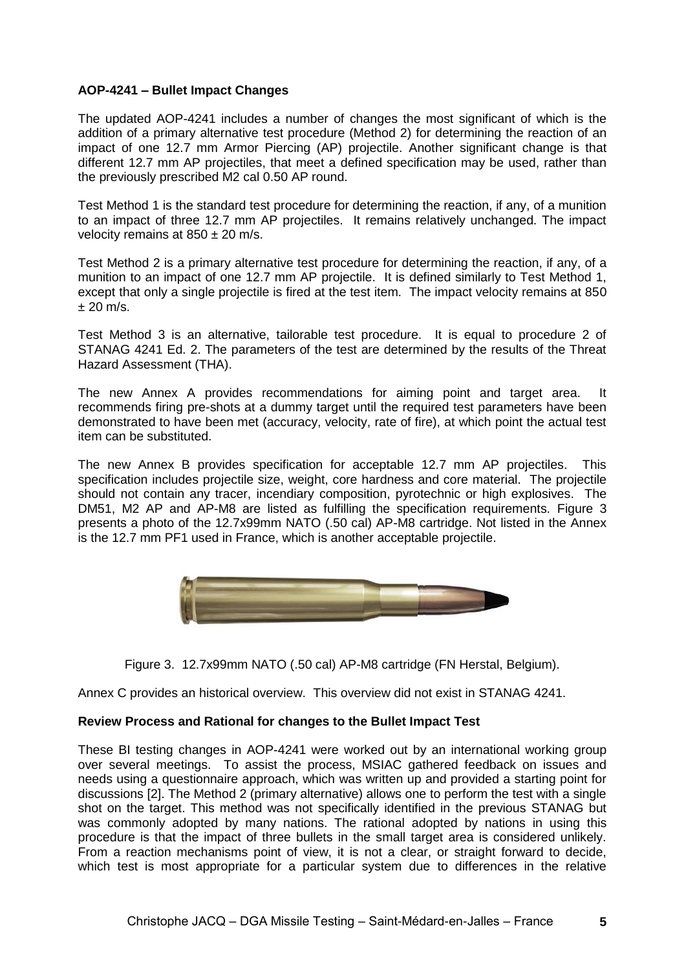## **AOP-4241 – Bullet Impact Changes**

The updated AOP-4241 includes a number of changes the most significant of which is the addition of a primary alternative test procedure (Method 2) for determining the reaction of an impact of one 12.7 mm Armor Piercing (AP) projectile. Another significant change is that different 12.7 mm AP projectiles, that meet a defined specification may be used, rather than the previously prescribed M2 cal 0.50 AP round.

Test Method 1 is the standard test procedure for determining the reaction, if any, of a munition to an impact of three 12.7 mm AP projectiles. It remains relatively unchanged. The impact velocity remains at  $850 \pm 20$  m/s.

Test Method 2 is a primary alternative test procedure for determining the reaction, if any, of a munition to an impact of one 12.7 mm AP projectile. It is defined similarly to Test Method 1, except that only a single projectile is fired at the test item. The impact velocity remains at 850  $± 20$  m/s.

Test Method 3 is an alternative, tailorable test procedure. It is equal to procedure 2 of STANAG 4241 Ed. 2. The parameters of the test are determined by the results of the Threat Hazard Assessment (THA).

The new Annex A provides recommendations for aiming point and target area. It recommends firing pre-shots at a dummy target until the required test parameters have been demonstrated to have been met (accuracy, velocity, rate of fire), at which point the actual test item can be substituted.

The new Annex B provides specification for acceptable 12.7 mm AP projectiles. This specification includes projectile size, weight, core hardness and core material. The projectile should not contain any tracer, incendiary composition, pyrotechnic or high explosives. The DM51, M2 AP and AP-M8 are listed as fulfilling the specification requirements. Figure 3 presents a photo of the 12.7x99mm NATO (.50 cal) AP-M8 cartridge. Not listed in the Annex is the 12.7 mm PF1 used in France, which is another acceptable projectile.



Figure 3. 12.7x99mm NATO (.50 cal) AP-M8 cartridge (FN Herstal, Belgium).

Annex C provides an historical overview. This overview did not exist in STANAG 4241.

## **Review Process and Rational for changes to the Bullet Impact Test**

These BI testing changes in AOP-4241 were worked out by an international working group over several meetings. To assist the process, MSIAC gathered feedback on issues and needs using a questionnaire approach, which was written up and provided a starting point for discussions [2]. The Method 2 (primary alternative) allows one to perform the test with a single shot on the target. This method was not specifically identified in the previous STANAG but was commonly adopted by many nations. The rational adopted by nations in using this procedure is that the impact of three bullets in the small target area is considered unlikely. From a reaction mechanisms point of view, it is not a clear, or straight forward to decide, which test is most appropriate for a particular system due to differences in the relative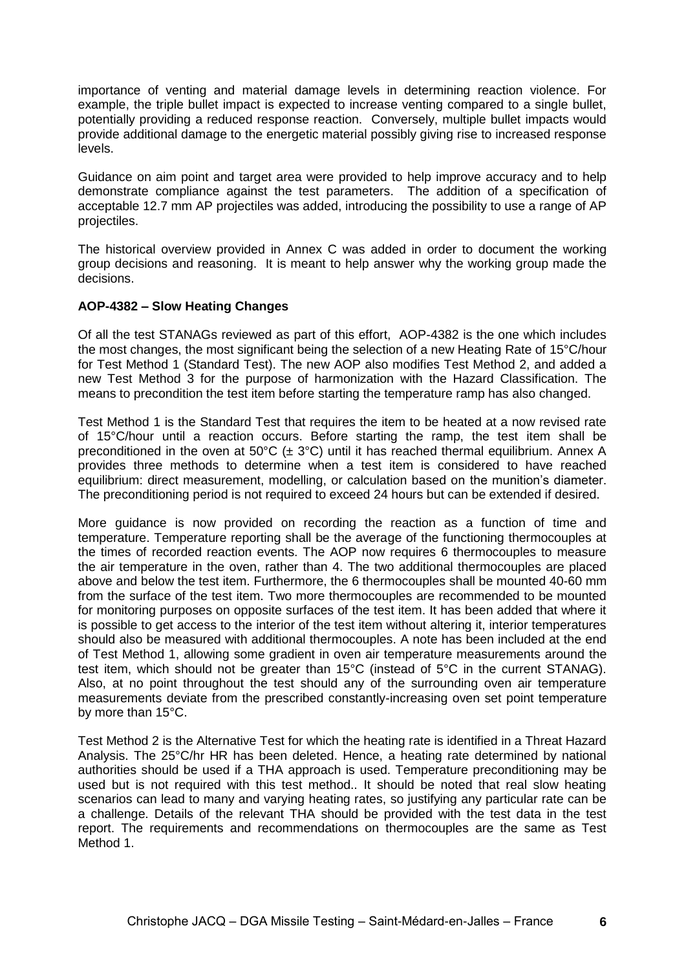importance of venting and material damage levels in determining reaction violence. For example, the triple bullet impact is expected to increase venting compared to a single bullet, potentially providing a reduced response reaction. Conversely, multiple bullet impacts would provide additional damage to the energetic material possibly giving rise to increased response levels.

Guidance on aim point and target area were provided to help improve accuracy and to help demonstrate compliance against the test parameters. The addition of a specification of acceptable 12.7 mm AP projectiles was added, introducing the possibility to use a range of AP projectiles.

The historical overview provided in Annex C was added in order to document the working group decisions and reasoning. It is meant to help answer why the working group made the decisions.

## **AOP-4382 – Slow Heating Changes**

Of all the test STANAGs reviewed as part of this effort, AOP-4382 is the one which includes the most changes, the most significant being the selection of a new Heating Rate of 15°C/hour for Test Method 1 (Standard Test). The new AOP also modifies Test Method 2, and added a new Test Method 3 for the purpose of harmonization with the Hazard Classification. The means to precondition the test item before starting the temperature ramp has also changed.

Test Method 1 is the Standard Test that requires the item to be heated at a now revised rate of 15°C/hour until a reaction occurs. Before starting the ramp, the test item shall be preconditioned in the oven at 50°C ( $\pm$  3°C) until it has reached thermal equilibrium. Annex A provides three methods to determine when a test item is considered to have reached equilibrium: direct measurement, modelling, or calculation based on the munition's diameter. The preconditioning period is not required to exceed 24 hours but can be extended if desired.

More guidance is now provided on recording the reaction as a function of time and temperature. Temperature reporting shall be the average of the functioning thermocouples at the times of recorded reaction events. The AOP now requires 6 thermocouples to measure the air temperature in the oven, rather than 4. The two additional thermocouples are placed above and below the test item. Furthermore, the 6 thermocouples shall be mounted 40-60 mm from the surface of the test item. Two more thermocouples are recommended to be mounted for monitoring purposes on opposite surfaces of the test item. It has been added that where it is possible to get access to the interior of the test item without altering it, interior temperatures should also be measured with additional thermocouples. A note has been included at the end of Test Method 1, allowing some gradient in oven air temperature measurements around the test item, which should not be greater than 15°C (instead of 5°C in the current STANAG). Also, at no point throughout the test should any of the surrounding oven air temperature measurements deviate from the prescribed constantly-increasing oven set point temperature by more than 15°C.

Test Method 2 is the Alternative Test for which the heating rate is identified in a Threat Hazard Analysis. The 25°C/hr HR has been deleted. Hence, a heating rate determined by national authorities should be used if a THA approach is used. Temperature preconditioning may be used but is not required with this test method.. It should be noted that real slow heating scenarios can lead to many and varying heating rates, so justifying any particular rate can be a challenge. Details of the relevant THA should be provided with the test data in the test report. The requirements and recommendations on thermocouples are the same as Test Method 1.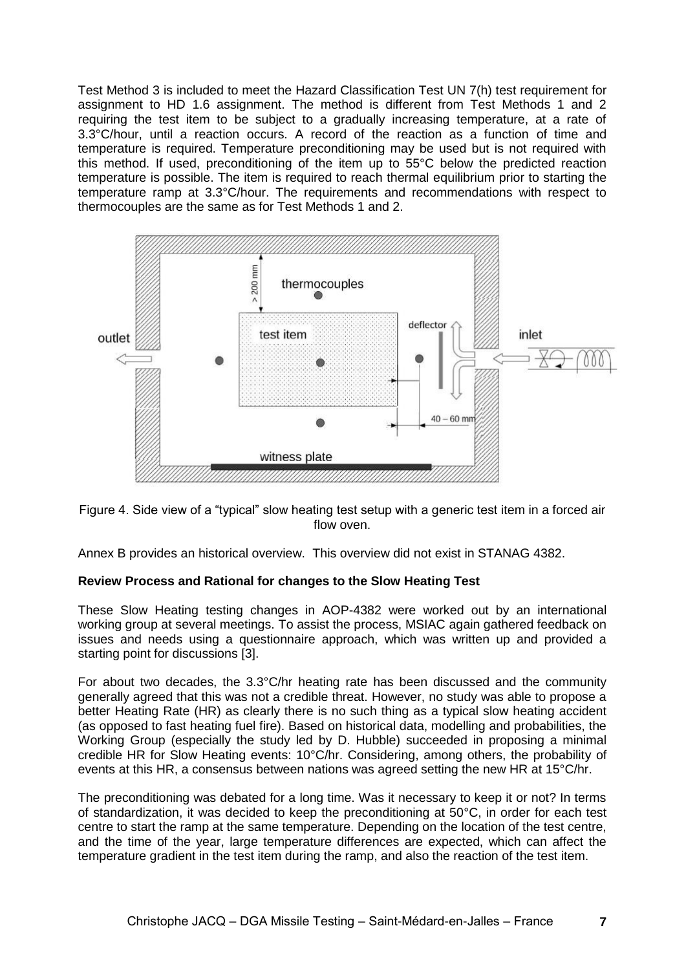Test Method 3 is included to meet the Hazard Classification Test UN 7(h) test requirement for assignment to HD 1.6 assignment. The method is different from Test Methods 1 and 2 requiring the test item to be subject to a gradually increasing temperature, at a rate of 3.3°C/hour, until a reaction occurs. A record of the reaction as a function of time and temperature is required. Temperature preconditioning may be used but is not required with this method. If used, preconditioning of the item up to 55°C below the predicted reaction temperature is possible. The item is required to reach thermal equilibrium prior to starting the temperature ramp at 3.3°C/hour. The requirements and recommendations with respect to thermocouples are the same as for Test Methods 1 and 2.



Figure 4. Side view of a "typical" slow heating test setup with a generic test item in a forced air flow oven.

Annex B provides an historical overview. This overview did not exist in STANAG 4382.

## **Review Process and Rational for changes to the Slow Heating Test**

These Slow Heating testing changes in AOP-4382 were worked out by an international working group at several meetings. To assist the process, MSIAC again gathered feedback on issues and needs using a questionnaire approach, which was written up and provided a starting point for discussions [3].

For about two decades, the 3.3°C/hr heating rate has been discussed and the community generally agreed that this was not a credible threat. However, no study was able to propose a better Heating Rate (HR) as clearly there is no such thing as a typical slow heating accident (as opposed to fast heating fuel fire). Based on historical data, modelling and probabilities, the Working Group (especially the study led by D. Hubble) succeeded in proposing a minimal credible HR for Slow Heating events: 10°C/hr. Considering, among others, the probability of events at this HR, a consensus between nations was agreed setting the new HR at 15°C/hr.

The preconditioning was debated for a long time. Was it necessary to keep it or not? In terms of standardization, it was decided to keep the preconditioning at 50°C, in order for each test centre to start the ramp at the same temperature. Depending on the location of the test centre, and the time of the year, large temperature differences are expected, which can affect the temperature gradient in the test item during the ramp, and also the reaction of the test item.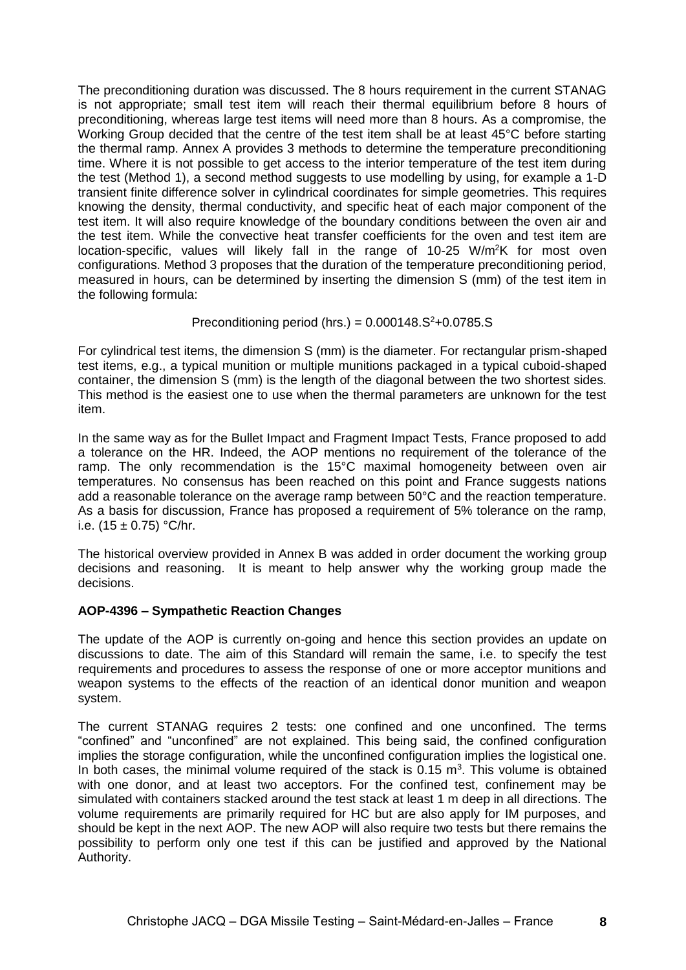The preconditioning duration was discussed. The 8 hours requirement in the current STANAG is not appropriate; small test item will reach their thermal equilibrium before 8 hours of preconditioning, whereas large test items will need more than 8 hours. As a compromise, the Working Group decided that the centre of the test item shall be at least 45°C before starting the thermal ramp. Annex A provides 3 methods to determine the temperature preconditioning time. Where it is not possible to get access to the interior temperature of the test item during the test (Method 1), a second method suggests to use modelling by using, for example a 1-D transient finite difference solver in cylindrical coordinates for simple geometries. This requires knowing the density, thermal conductivity, and specific heat of each major component of the test item. It will also require knowledge of the boundary conditions between the oven air and the test item. While the convective heat transfer coefficients for the oven and test item are location-specific, values will likely fall in the range of 10-25 W/m<sup>2</sup>K for most oven configurations. Method 3 proposes that the duration of the temperature preconditioning period, measured in hours, can be determined by inserting the dimension S (mm) of the test item in the following formula:

## Preconditioning period (hrs.) =  $0.000148.S<sup>2</sup>+0.0785.S$

For cylindrical test items, the dimension S (mm) is the diameter. For rectangular prism-shaped test items, e.g., a typical munition or multiple munitions packaged in a typical cuboid-shaped container, the dimension S (mm) is the length of the diagonal between the two shortest sides. This method is the easiest one to use when the thermal parameters are unknown for the test item.

In the same way as for the Bullet Impact and Fragment Impact Tests, France proposed to add a tolerance on the HR. Indeed, the AOP mentions no requirement of the tolerance of the ramp. The only recommendation is the 15°C maximal homogeneity between oven air temperatures. No consensus has been reached on this point and France suggests nations add a reasonable tolerance on the average ramp between 50°C and the reaction temperature. As a basis for discussion, France has proposed a requirement of 5% tolerance on the ramp, i.e. (15 ± 0.75) °C/hr.

The historical overview provided in Annex B was added in order document the working group decisions and reasoning. It is meant to help answer why the working group made the decisions.

## **AOP-4396 – Sympathetic Reaction Changes**

The update of the AOP is currently on-going and hence this section provides an update on discussions to date. The aim of this Standard will remain the same, i.e. to specify the test requirements and procedures to assess the response of one or more acceptor munitions and weapon systems to the effects of the reaction of an identical donor munition and weapon system.

The current STANAG requires 2 tests: one confined and one unconfined. The terms "confined" and "unconfined" are not explained. This being said, the confined configuration implies the storage configuration, while the unconfined configuration implies the logistical one. In both cases, the minimal volume required of the stack is  $0.15 \, \text{m}^3$ . This volume is obtained with one donor, and at least two acceptors. For the confined test, confinement may be simulated with containers stacked around the test stack at least 1 m deep in all directions. The volume requirements are primarily required for HC but are also apply for IM purposes, and should be kept in the next AOP. The new AOP will also require two tests but there remains the possibility to perform only one test if this can be justified and approved by the National Authority.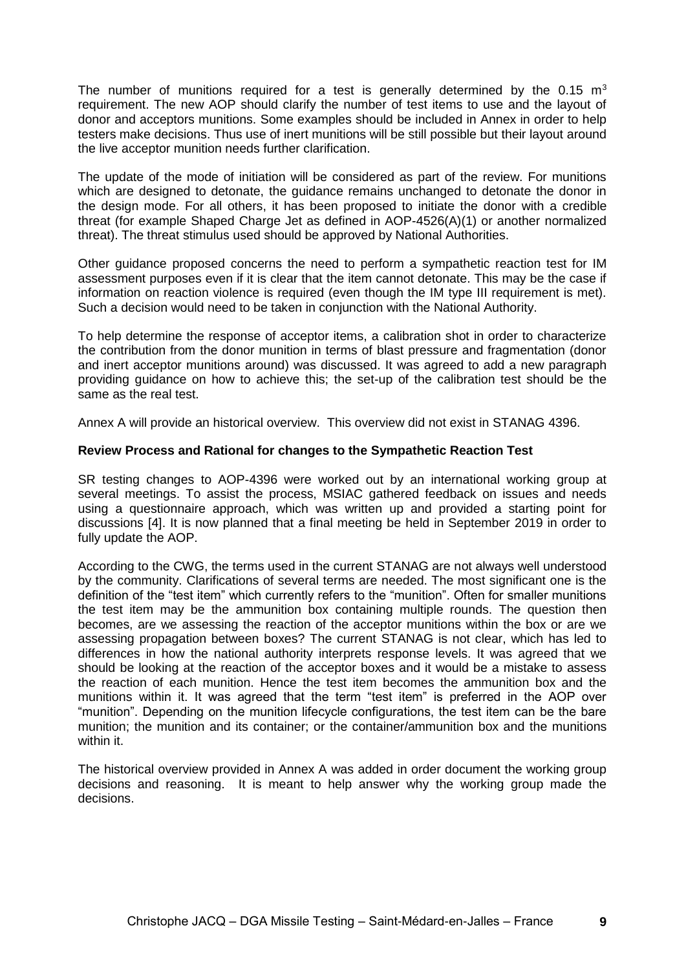The number of munitions required for a test is generally determined by the 0.15  $m<sup>3</sup>$ requirement. The new AOP should clarify the number of test items to use and the layout of donor and acceptors munitions. Some examples should be included in Annex in order to help testers make decisions. Thus use of inert munitions will be still possible but their layout around the live acceptor munition needs further clarification.

The update of the mode of initiation will be considered as part of the review. For munitions which are designed to detonate, the guidance remains unchanged to detonate the donor in the design mode. For all others, it has been proposed to initiate the donor with a credible threat (for example Shaped Charge Jet as defined in AOP-4526(A)(1) or another normalized threat). The threat stimulus used should be approved by National Authorities.

Other guidance proposed concerns the need to perform a sympathetic reaction test for IM assessment purposes even if it is clear that the item cannot detonate. This may be the case if information on reaction violence is required (even though the IM type III requirement is met). Such a decision would need to be taken in conjunction with the National Authority.

To help determine the response of acceptor items, a calibration shot in order to characterize the contribution from the donor munition in terms of blast pressure and fragmentation (donor and inert acceptor munitions around) was discussed. It was agreed to add a new paragraph providing guidance on how to achieve this; the set-up of the calibration test should be the same as the real test.

Annex A will provide an historical overview. This overview did not exist in STANAG 4396.

#### **Review Process and Rational for changes to the Sympathetic Reaction Test**

SR testing changes to AOP-4396 were worked out by an international working group at several meetings. To assist the process, MSIAC gathered feedback on issues and needs using a questionnaire approach, which was written up and provided a starting point for discussions [4]. It is now planned that a final meeting be held in September 2019 in order to fully update the AOP.

According to the CWG, the terms used in the current STANAG are not always well understood by the community. Clarifications of several terms are needed. The most significant one is the definition of the "test item" which currently refers to the "munition". Often for smaller munitions the test item may be the ammunition box containing multiple rounds. The question then becomes, are we assessing the reaction of the acceptor munitions within the box or are we assessing propagation between boxes? The current STANAG is not clear, which has led to differences in how the national authority interprets response levels. It was agreed that we should be looking at the reaction of the acceptor boxes and it would be a mistake to assess the reaction of each munition. Hence the test item becomes the ammunition box and the munitions within it. It was agreed that the term "test item" is preferred in the AOP over "munition". Depending on the munition lifecycle configurations, the test item can be the bare munition; the munition and its container; or the container/ammunition box and the munitions within it.

The historical overview provided in Annex A was added in order document the working group decisions and reasoning. It is meant to help answer why the working group made the decisions.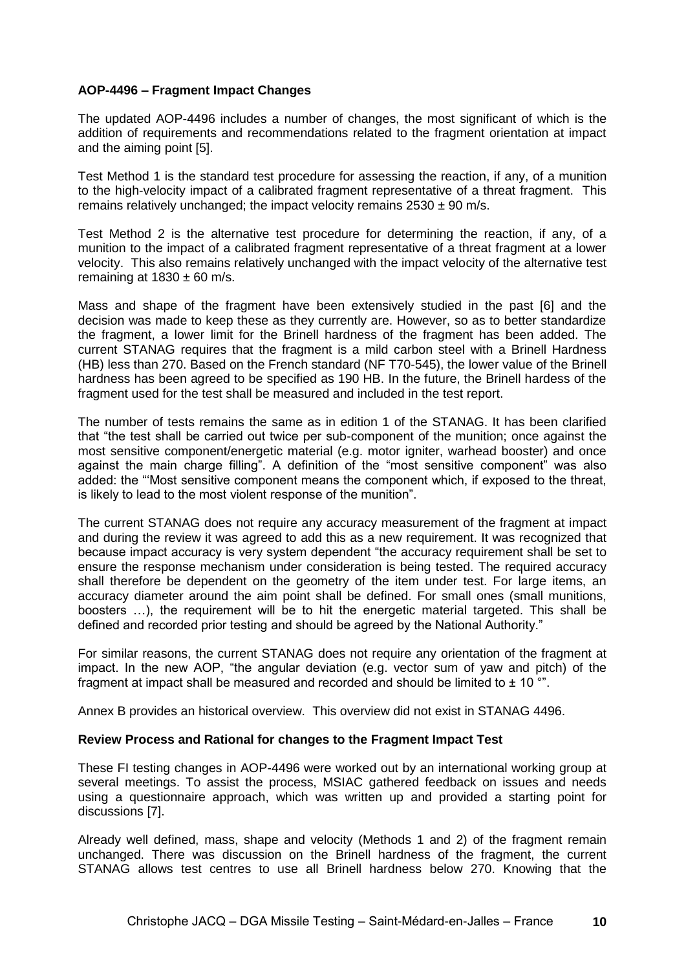## **AOP-4496 – Fragment Impact Changes**

The updated AOP-4496 includes a number of changes, the most significant of which is the addition of requirements and recommendations related to the fragment orientation at impact and the aiming point [5].

Test Method 1 is the standard test procedure for assessing the reaction, if any, of a munition to the high-velocity impact of a calibrated fragment representative of a threat fragment. This remains relatively unchanged; the impact velocity remains  $2530 \pm 90$  m/s.

Test Method 2 is the alternative test procedure for determining the reaction, if any, of a munition to the impact of a calibrated fragment representative of a threat fragment at a lower velocity. This also remains relatively unchanged with the impact velocity of the alternative test remaining at  $1830 \pm 60$  m/s.

Mass and shape of the fragment have been extensively studied in the past [6] and the decision was made to keep these as they currently are. However, so as to better standardize the fragment, a lower limit for the Brinell hardness of the fragment has been added. The current STANAG requires that the fragment is a mild carbon steel with a Brinell Hardness (HB) less than 270. Based on the French standard (NF T70-545), the lower value of the Brinell hardness has been agreed to be specified as 190 HB. In the future, the Brinell hardess of the fragment used for the test shall be measured and included in the test report.

The number of tests remains the same as in edition 1 of the STANAG. It has been clarified that "the test shall be carried out twice per sub-component of the munition; once against the most sensitive component/energetic material (e.g. motor igniter, warhead booster) and once against the main charge filling". A definition of the "most sensitive component" was also added: the "'Most sensitive component means the component which, if exposed to the threat, is likely to lead to the most violent response of the munition".

The current STANAG does not require any accuracy measurement of the fragment at impact and during the review it was agreed to add this as a new requirement. It was recognized that because impact accuracy is very system dependent "the accuracy requirement shall be set to ensure the response mechanism under consideration is being tested. The required accuracy shall therefore be dependent on the geometry of the item under test. For large items, an accuracy diameter around the aim point shall be defined. For small ones (small munitions, boosters …), the requirement will be to hit the energetic material targeted. This shall be defined and recorded prior testing and should be agreed by the National Authority."

For similar reasons, the current STANAG does not require any orientation of the fragment at impact. In the new AOP, "the angular deviation (e.g. vector sum of yaw and pitch) of the fragment at impact shall be measured and recorded and should be limited to  $\pm$  10  $\degree$ ".

Annex B provides an historical overview. This overview did not exist in STANAG 4496.

## **Review Process and Rational for changes to the Fragment Impact Test**

These FI testing changes in AOP-4496 were worked out by an international working group at several meetings. To assist the process, MSIAC gathered feedback on issues and needs using a questionnaire approach, which was written up and provided a starting point for discussions [7].

Already well defined, mass, shape and velocity (Methods 1 and 2) of the fragment remain unchanged. There was discussion on the Brinell hardness of the fragment, the current STANAG allows test centres to use all Brinell hardness below 270. Knowing that the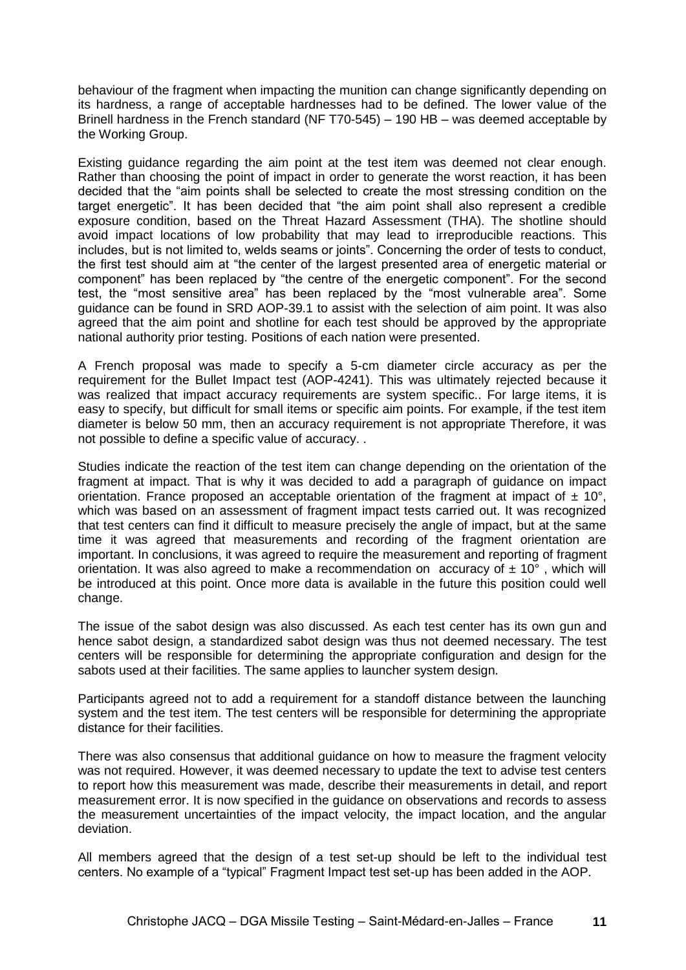behaviour of the fragment when impacting the munition can change significantly depending on its hardness, a range of acceptable hardnesses had to be defined. The lower value of the Brinell hardness in the French standard (NF T70-545) – 190 HB – was deemed acceptable by the Working Group.

Existing guidance regarding the aim point at the test item was deemed not clear enough. Rather than choosing the point of impact in order to generate the worst reaction, it has been decided that the "aim points shall be selected to create the most stressing condition on the target energetic". It has been decided that "the aim point shall also represent a credible exposure condition, based on the Threat Hazard Assessment (THA). The shotline should avoid impact locations of low probability that may lead to irreproducible reactions. This includes, but is not limited to, welds seams or joints". Concerning the order of tests to conduct, the first test should aim at "the center of the largest presented area of energetic material or component" has been replaced by "the centre of the energetic component". For the second test, the "most sensitive area" has been replaced by the "most vulnerable area". Some guidance can be found in SRD AOP-39.1 to assist with the selection of aim point. It was also agreed that the aim point and shotline for each test should be approved by the appropriate national authority prior testing. Positions of each nation were presented.

A French proposal was made to specify a 5-cm diameter circle accuracy as per the requirement for the Bullet Impact test (AOP-4241). This was ultimately rejected because it was realized that impact accuracy requirements are system specific.. For large items, it is easy to specify, but difficult for small items or specific aim points. For example, if the test item diameter is below 50 mm, then an accuracy requirement is not appropriate Therefore, it was not possible to define a specific value of accuracy. .

Studies indicate the reaction of the test item can change depending on the orientation of the fragment at impact. That is why it was decided to add a paragraph of guidance on impact orientation. France proposed an acceptable orientation of the fragment at impact of  $\pm$  10°, which was based on an assessment of fragment impact tests carried out. It was recognized that test centers can find it difficult to measure precisely the angle of impact, but at the same time it was agreed that measurements and recording of the fragment orientation are important. In conclusions, it was agreed to require the measurement and reporting of fragment orientation. It was also agreed to make a recommendation on accuracy of  $\pm 10^{\circ}$ , which will be introduced at this point. Once more data is available in the future this position could well change.

The issue of the sabot design was also discussed. As each test center has its own gun and hence sabot design, a standardized sabot design was thus not deemed necessary. The test centers will be responsible for determining the appropriate configuration and design for the sabots used at their facilities. The same applies to launcher system design.

Participants agreed not to add a requirement for a standoff distance between the launching system and the test item. The test centers will be responsible for determining the appropriate distance for their facilities.

There was also consensus that additional guidance on how to measure the fragment velocity was not required. However, it was deemed necessary to update the text to advise test centers to report how this measurement was made, describe their measurements in detail, and report measurement error. It is now specified in the guidance on observations and records to assess the measurement uncertainties of the impact velocity, the impact location, and the angular deviation.

All members agreed that the design of a test set-up should be left to the individual test centers. No example of a "typical" Fragment Impact test set-up has been added in the AOP.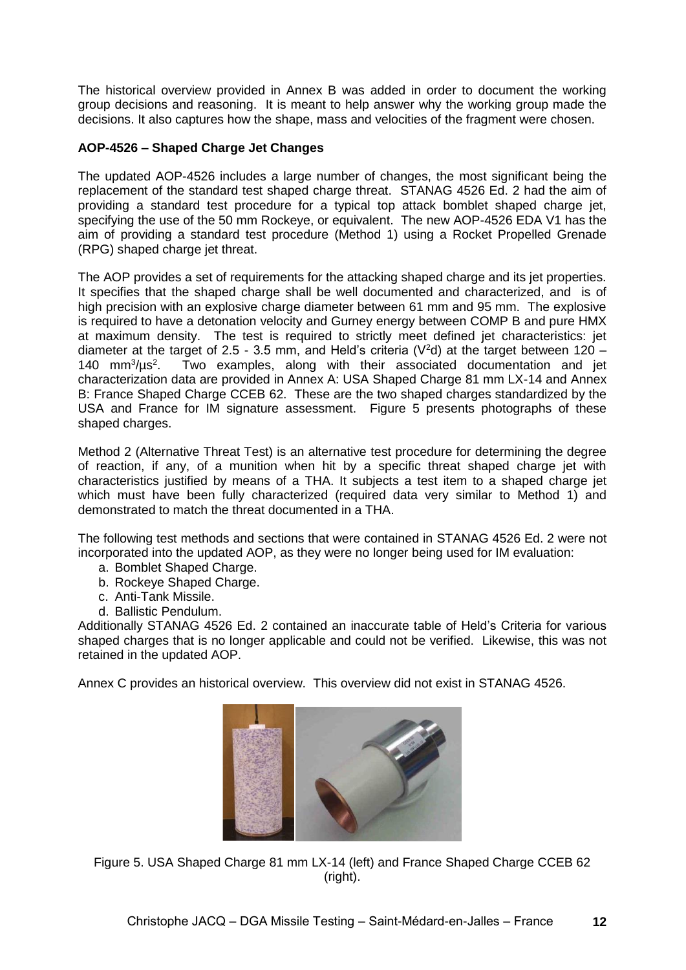The historical overview provided in Annex B was added in order to document the working group decisions and reasoning. It is meant to help answer why the working group made the decisions. It also captures how the shape, mass and velocities of the fragment were chosen.

# **AOP-4526 – Shaped Charge Jet Changes**

The updated AOP-4526 includes a large number of changes, the most significant being the replacement of the standard test shaped charge threat. STANAG 4526 Ed. 2 had the aim of providing a standard test procedure for a typical top attack bomblet shaped charge jet, specifying the use of the 50 mm Rockeye, or equivalent. The new AOP-4526 EDA V1 has the aim of providing a standard test procedure (Method 1) using a Rocket Propelled Grenade (RPG) shaped charge jet threat.

The AOP provides a set of requirements for the attacking shaped charge and its jet properties. It specifies that the shaped charge shall be well documented and characterized, and is of high precision with an explosive charge diameter between 61 mm and 95 mm. The explosive is required to have a detonation velocity and Gurney energy between COMP B and pure HMX at maximum density. The test is required to strictly meet defined jet characteristics: jet diameter at the target of 2.5 - 3.5 mm, and Held's criteria ( $V^2$ d) at the target between 120 – 140  $mm^3/ \mu s^2$ . Two examples, along with their associated documentation and jet characterization data are provided in Annex A: USA Shaped Charge 81 mm LX-14 and Annex B: France Shaped Charge CCEB 62. These are the two shaped charges standardized by the USA and France for IM signature assessment. Figure 5 presents photographs of these shaped charges.

Method 2 (Alternative Threat Test) is an alternative test procedure for determining the degree of reaction, if any, of a munition when hit by a specific threat shaped charge jet with characteristics justified by means of a THA. It subjects a test item to a shaped charge jet which must have been fully characterized (required data very similar to Method 1) and demonstrated to match the threat documented in a THA.

The following test methods and sections that were contained in STANAG 4526 Ed. 2 were not incorporated into the updated AOP, as they were no longer being used for IM evaluation:

- a. Bomblet Shaped Charge.
- b. Rockeye Shaped Charge.
- c. Anti-Tank Missile.
- d. Ballistic Pendulum.

Additionally STANAG 4526 Ed. 2 contained an inaccurate table of Held's Criteria for various shaped charges that is no longer applicable and could not be verified. Likewise, this was not retained in the updated AOP.

Annex C provides an historical overview. This overview did not exist in STANAG 4526.



Figure 5. USA Shaped Charge 81 mm LX-14 (left) and France Shaped Charge CCEB 62 (right).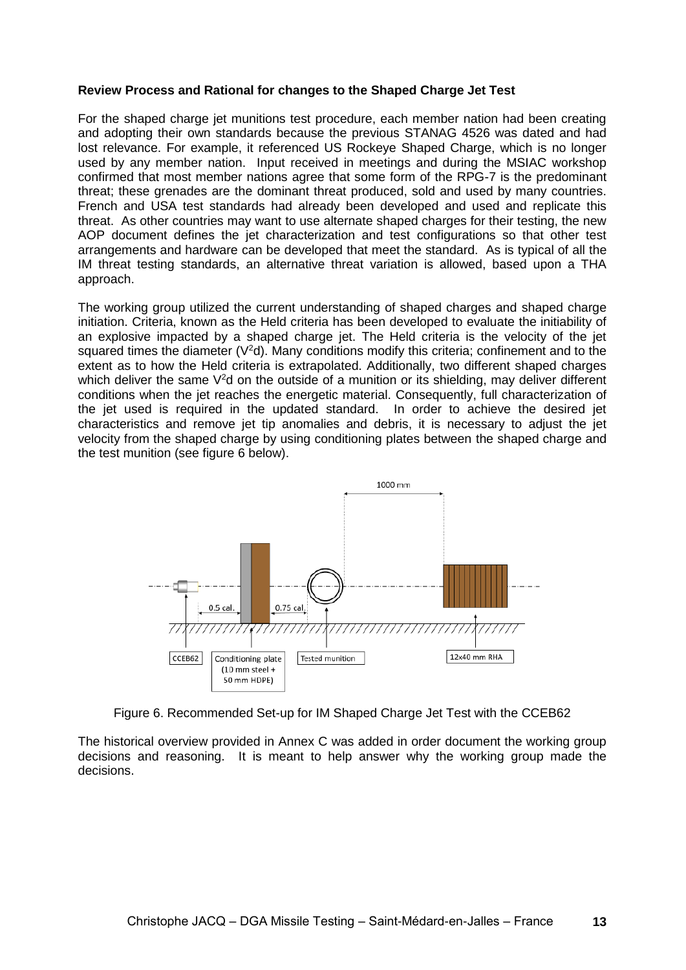#### **Review Process and Rational for changes to the Shaped Charge Jet Test**

For the shaped charge jet munitions test procedure, each member nation had been creating and adopting their own standards because the previous STANAG 4526 was dated and had lost relevance. For example, it referenced US Rockeye Shaped Charge, which is no longer used by any member nation. Input received in meetings and during the MSIAC workshop confirmed that most member nations agree that some form of the RPG-7 is the predominant threat; these grenades are the dominant threat produced, sold and used by many countries. French and USA test standards had already been developed and used and replicate this threat. As other countries may want to use alternate shaped charges for their testing, the new AOP document defines the jet characterization and test configurations so that other test arrangements and hardware can be developed that meet the standard. As is typical of all the IM threat testing standards, an alternative threat variation is allowed, based upon a THA approach.

The working group utilized the current understanding of shaped charges and shaped charge initiation. Criteria, known as the Held criteria has been developed to evaluate the initiability of an explosive impacted by a shaped charge jet. The Held criteria is the velocity of the jet squared times the diameter ( $V^2d$ ). Many conditions modify this criteria; confinement and to the extent as to how the Held criteria is extrapolated. Additionally, two different shaped charges which deliver the same  $V^2d$  on the outside of a munition or its shielding, may deliver different conditions when the jet reaches the energetic material. Consequently, full characterization of the jet used is required in the updated standard. In order to achieve the desired jet characteristics and remove jet tip anomalies and debris, it is necessary to adjust the jet velocity from the shaped charge by using conditioning plates between the shaped charge and the test munition (see figure 6 below).



Figure 6. Recommended Set-up for IM Shaped Charge Jet Test with the CCEB62

The historical overview provided in Annex C was added in order document the working group decisions and reasoning. It is meant to help answer why the working group made the decisions.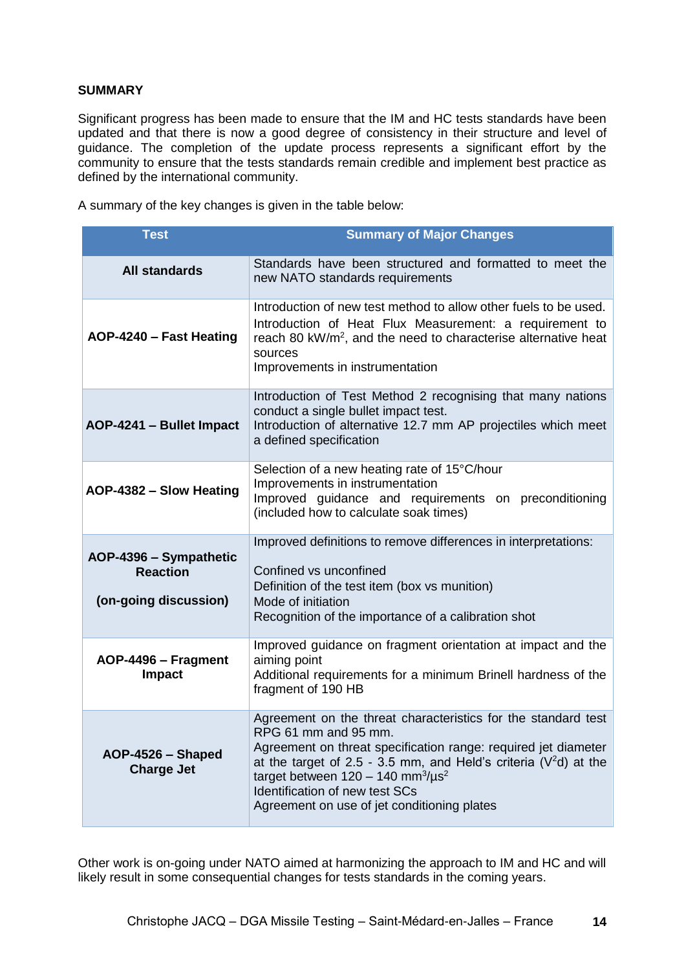## **SUMMARY**

Significant progress has been made to ensure that the IM and HC tests standards have been updated and that there is now a good degree of consistency in their structure and level of guidance. The completion of the update process represents a significant effort by the community to ensure that the tests standards remain credible and implement best practice as defined by the international community.

A summary of the key changes is given in the table below:

| <b>Test</b>                                                        | <b>Summary of Major Changes</b>                                                                                                                                                                                                                                                                                                                                                 |
|--------------------------------------------------------------------|---------------------------------------------------------------------------------------------------------------------------------------------------------------------------------------------------------------------------------------------------------------------------------------------------------------------------------------------------------------------------------|
| <b>All standards</b>                                               | Standards have been structured and formatted to meet the<br>new NATO standards requirements                                                                                                                                                                                                                                                                                     |
| AOP-4240 - Fast Heating                                            | Introduction of new test method to allow other fuels to be used.<br>Introduction of Heat Flux Measurement: a requirement to<br>reach 80 kW/m <sup>2</sup> , and the need to characterise alternative heat<br>sources<br>Improvements in instrumentation                                                                                                                         |
| AOP-4241 - Bullet Impact                                           | Introduction of Test Method 2 recognising that many nations<br>conduct a single bullet impact test.<br>Introduction of alternative 12.7 mm AP projectiles which meet<br>a defined specification                                                                                                                                                                                 |
| AOP-4382 - Slow Heating                                            | Selection of a new heating rate of 15°C/hour<br>Improvements in instrumentation<br>Improved guidance and requirements on preconditioning<br>(included how to calculate soak times)                                                                                                                                                                                              |
| AOP-4396 - Sympathetic<br><b>Reaction</b><br>(on-going discussion) | Improved definitions to remove differences in interpretations:<br>Confined vs unconfined<br>Definition of the test item (box vs munition)<br>Mode of initiation<br>Recognition of the importance of a calibration shot                                                                                                                                                          |
| AOP-4496 - Fragment<br><b>Impact</b>                               | Improved guidance on fragment orientation at impact and the<br>aiming point<br>Additional requirements for a minimum Brinell hardness of the<br>fragment of 190 HB                                                                                                                                                                                                              |
| AOP-4526 - Shaped<br><b>Charge Jet</b>                             | Agreement on the threat characteristics for the standard test<br>RPG 61 mm and 95 mm.<br>Agreement on threat specification range: required jet diameter<br>at the target of 2.5 - 3.5 mm, and Held's criteria ( $V^2d$ ) at the<br>target between $120 - 140$ mm <sup>3</sup> /us <sup>2</sup><br>Identification of new test SCs<br>Agreement on use of jet conditioning plates |

Other work is on-going under NATO aimed at harmonizing the approach to IM and HC and will likely result in some consequential changes for tests standards in the coming years.